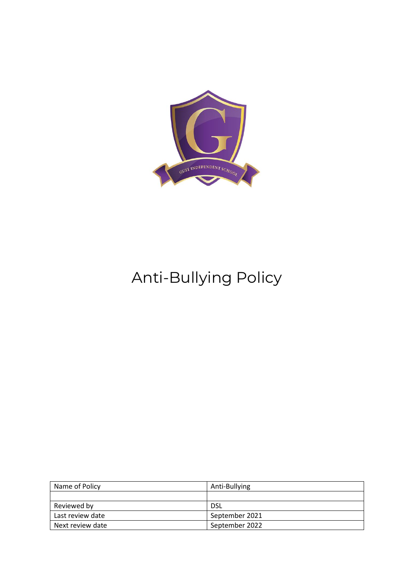

# Anti-Bullying Policy

| Name of Policy   | Anti-Bullying  |
|------------------|----------------|
|                  |                |
| Reviewed by      | <b>DSL</b>     |
| Last review date | September 2021 |
| Next review date | September 2022 |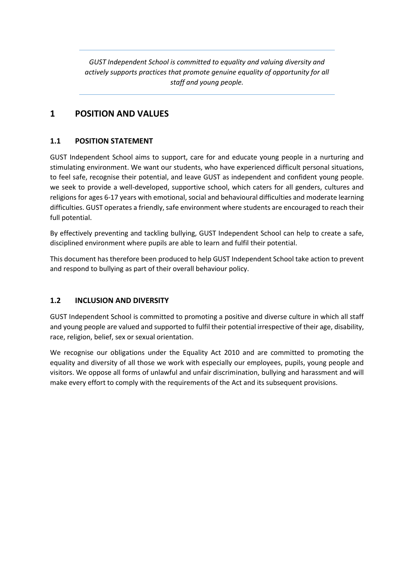*GUST Independent School is committed to equality and valuing diversity and actively supports practices that promote genuine equality of opportunity for all staff and young people.*

# **1 POSITION AND VALUES**

# **1.1 POSITION STATEMENT**

GUST Independent School aims to support, care for and educate young people in a nurturing and stimulating environment. We want our students, who have experienced difficult personal situations, to feel safe, recognise their potential, and leave GUST as independent and confident young people. we seek to provide a well-developed, supportive school, which caters for all genders, cultures and religions for ages 6-17 years with emotional, social and behavioural difficulties and moderate learning difficulties. GUST operates a friendly, safe environment where students are encouraged to reach their full potential.

By effectively preventing and tackling bullying, GUST Independent School can help to create a safe, disciplined environment where pupils are able to learn and fulfil their potential.

This document has therefore been produced to help GUST Independent School take action to prevent and respond to bullying as part of their overall behaviour policy.

# **1.2 INCLUSION AND DIVERSITY**

GUST Independent School is committed to promoting a positive and diverse culture in which all staff and young people are valued and supported to fulfil their potential irrespective of their age, disability, race, religion, belief, sex or sexual orientation.

We recognise our obligations under the Equality Act 2010 and are committed to promoting the equality and diversity of all those we work with especially our employees, pupils, young people and visitors. We oppose all forms of unlawful and unfair discrimination, bullying and harassment and will make every effort to comply with the requirements of the Act and its subsequent provisions.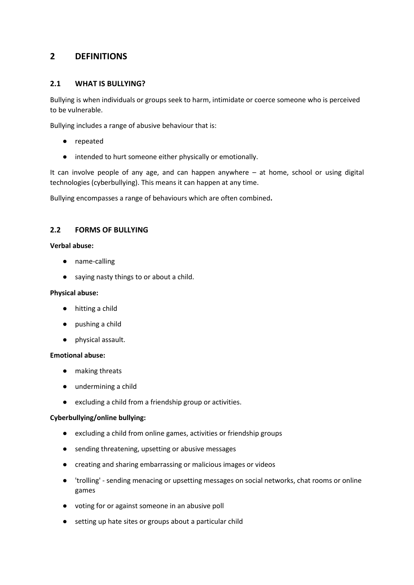# **2 DEFINITIONS**

## **2.1 WHAT IS BULLYING?**

Bullying is when individuals or groups seek to harm, intimidate or coerce someone who is perceived to be vulnerable.

Bullying includes a range of abusive behaviour that is:

- repeated
- intended to hurt someone either physically or emotionally.

It can involve people of any age, and can happen anywhere – at home, school or using digital technologies (cyberbullying). This means it can happen at any time.

Bullying encompasses a range of behaviours which are often combined**.**

## **2.2 FORMS OF BULLYING**

### **Verbal abuse:**

- name-calling
- saying nasty things to or about a child.

#### **Physical abuse:**

- hitting a child
- pushing a child
- physical assault.

### **Emotional abuse:**

- making threats
- undermining a child
- excluding a child from a friendship group or activities.

### **Cyberbullying/online bullying:**

- excluding a child from online games, activities or friendship groups
- sending threatening, upsetting or abusive messages
- creating and sharing embarrassing or malicious images or videos
- 'trolling' sending menacing or upsetting messages on social networks, chat rooms or online games
- voting for or against someone in an abusive poll
- setting up hate sites or groups about a particular child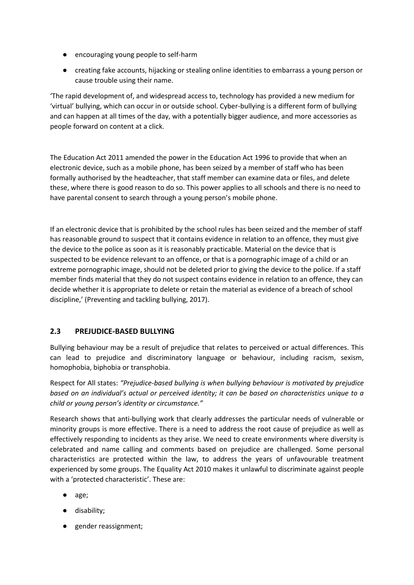- encouraging young people to self-harm
- creating fake accounts, hijacking or stealing online identities to embarrass a young person or cause trouble using their name.

'The rapid development of, and widespread access to, technology has provided a new medium for 'virtual' bullying, which can occur in or outside school. Cyber-bullying is a different form of bullying and can happen at all times of the day, with a potentially bigger audience, and more accessories as people forward on content at a click.

The Education Act 2011 amended the power in the Education Act 1996 to provide that when an electronic device, such as a mobile phone, has been seized by a member of staff who has been formally authorised by the headteacher, that staff member can examine data or files, and delete these, where there is good reason to do so. This power applies to all schools and there is no need to have parental consent to search through a young person's mobile phone.

If an electronic device that is prohibited by the school rules has been seized and the member of staff has reasonable ground to suspect that it contains evidence in relation to an offence, they must give the device to the police as soon as it is reasonably practicable. Material on the device that is suspected to be evidence relevant to an offence, or that is a pornographic image of a child or an extreme pornographic image, should not be deleted prior to giving the device to the police. If a staff member finds material that they do not suspect contains evidence in relation to an offence, they can decide whether it is appropriate to delete or retain the material as evidence of a breach of school discipline,' (Preventing and tackling bullying, 2017).

# **2.3 PREJUDICE-BASED BULLYING**

Bullying behaviour may be a result of prejudice that relates to perceived or actual differences. This can lead to prejudice and discriminatory language or behaviour, including racism, sexism, homophobia, biphobia or transphobia.

Respect for All states: *"Prejudice-based bullying is when bullying behaviour is motivated by prejudice based on an individual's actual or perceived identity; it can be based on characteristics unique to a child or young person's identity or circumstance."*

Research shows that anti-bullying work that clearly addresses the particular needs of vulnerable or minority groups is more effective. There is a need to address the root cause of prejudice as well as effectively responding to incidents as they arise. We need to create environments where diversity is celebrated and name calling and comments based on prejudice are challenged. Some personal characteristics are protected within the law, to address the years of unfavourable treatment experienced by some groups. The Equality Act 2010 makes it unlawful to discriminate against people with a 'protected characteristic'. These are:

- age;
- disability;
- gender reassignment;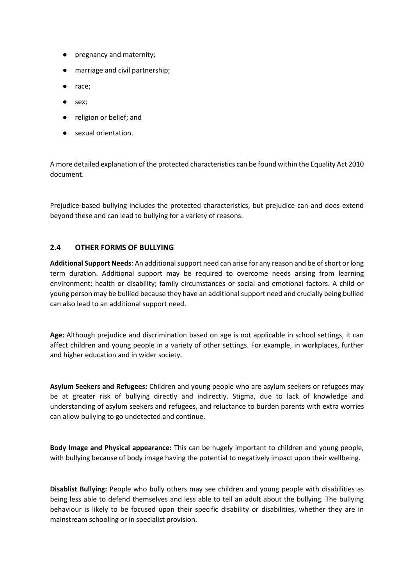- pregnancy and maternity;
- marriage and civil partnership;
- race;
- sex;
- religion or belief; and
- sexual orientation.

A more detailed explanation of the protected characteristics can be found within the Equality Act 2010 document.

Prejudice-based bullying includes the protected characteristics, but prejudice can and does extend beyond these and can lead to bullying for a variety of reasons.

## **2.4 OTHER FORMS OF BULLYING**

**Additional Support Needs**: An additional support need can arise for any reason and be of short or long term duration. Additional support may be required to overcome needs arising from learning environment; health or disability; family circumstances or social and emotional factors. A child or young person may be bullied because they have an additional support need and crucially being bullied can also lead to an additional support need.

**Age:** Although prejudice and discrimination based on age is not applicable in school settings, it can affect children and young people in a variety of other settings. For example, in workplaces, further and higher education and in wider society.

**Asylum Seekers and Refugees:** Children and young people who are asylum seekers or refugees may be at greater risk of bullying directly and indirectly. Stigma, due to lack of knowledge and understanding of asylum seekers and refugees, and reluctance to burden parents with extra worries can allow bullying to go undetected and continue.

**Body Image and Physical appearance:** This can be hugely important to children and young people, with bullying because of body image having the potential to negatively impact upon their wellbeing.

**Disablist Bullying:** People who bully others may see children and young people with disabilities as being less able to defend themselves and less able to tell an adult about the bullying. The bullying behaviour is likely to be focused upon their specific disability or disabilities, whether they are in mainstream schooling or in specialist provision.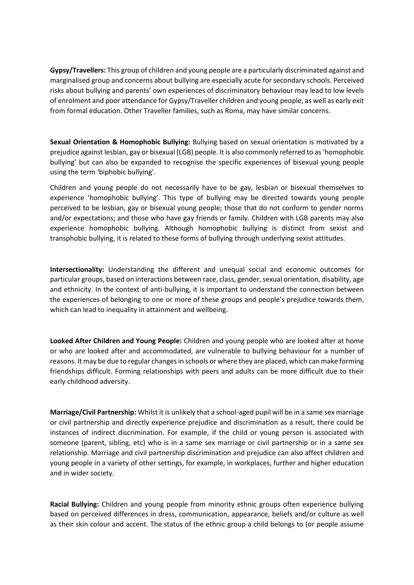**Gypsy/Travellers:** This group of children and young people are a particularly discriminated against and marginalised group and concerns about bullying are especially acute for secondary schools. Perceived risks about bullying and parents' own experiences of discriminatory behaviour may lead to low levels of enrolment and poor attendance for Gypsy/Traveller children and young people, as well as early exit from formal education. Other Traveller families, such as Roma, may have similar concerns.

**Sexual Orientation & Homophobic Bullying:** Bullying based on sexual orientation is motivated by a prejudice against lesbian, gay or bisexual (LGB) people. It is also commonly referred to as 'homophobic bullying' but can also be expanded to recognise the specific experiences of bisexual young people using the term 'biphobic bullying'.

Children and young people do not necessarily have to be gay, lesbian or bisexual themselves to experience 'homophobic bullying'. This type of bullying may be directed towards young people perceived to be lesbian, gay or bisexual young people; those that do not conform to gender norms and/or expectations; and those who have gay friends or family. Children with LGB parents may also experience homophobic bullying. Although homophobic bullying is distinct from sexist and transphobic bullying, it is related to these forms of bullying through underlying sexist attitudes.

**Intersectionality:** Understanding the different and unequal social and economic outcomes for particular groups, based on interactions between race, class, gender, sexual orientation, disability, age and ethnicity. In the context of anti-bullying, it is important to understand the connection between the experiences of belonging to one or more of these groups and people's prejudice towards them, which can lead to inequality in attainment and wellbeing.

**Looked After Children and Young People:** Children and young people who are looked after at home or who are looked after and accommodated, are vulnerable to bullying behaviour for a number of reasons. It may be due to regular changes in schools or where they are placed, which can make forming friendships difficult. Forming relationships with peers and adults can be more difficult due to their early childhood adversity.

**Marriage/Civil Partnership:** Whilst it is unlikely that a school-aged pupil will be in a same sex marriage or civil partnership and directly experience prejudice and discrimination as a result, there could be instances of indirect discrimination. For example, if the child or young person is associated with someone (parent, sibling, etc) who is in a same sex marriage or civil partnership or in a same sex relationship. Marriage and civil partnership discrimination and prejudice can also affect children and young people in a variety of other settings, for example, in workplaces, further and higher education and in wider society.

**Racial Bullying:** Children and young people from minority ethnic groups often experience bullying based on perceived differences in dress, communication, appearance, beliefs and/or culture as well as their skin colour and accent. The status of the ethnic group a child belongs to (or people assume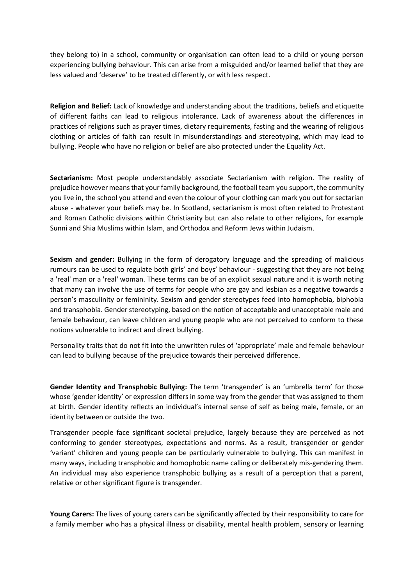they belong to) in a school, community or organisation can often lead to a child or young person experiencing bullying behaviour. This can arise from a misguided and/or learned belief that they are less valued and 'deserve' to be treated differently, or with less respect.

**Religion and Belief:** Lack of knowledge and understanding about the traditions, beliefs and etiquette of different faiths can lead to religious intolerance. Lack of awareness about the differences in practices of religions such as prayer times, dietary requirements, fasting and the wearing of religious clothing or articles of faith can result in misunderstandings and stereotyping, which may lead to bullying. People who have no religion or belief are also protected under the Equality Act.

**Sectarianism:** Most people understandably associate Sectarianism with religion. The reality of prejudice however means that your family background, the football team you support, the community you live in, the school you attend and even the colour of your clothing can mark you out for sectarian abuse - whatever your beliefs may be. In Scotland, sectarianism is most often related to Protestant and Roman Catholic divisions within Christianity but can also relate to other religions, for example Sunni and Shia Muslims within Islam, and Orthodox and Reform Jews within Judaism.

**Sexism and gender:** Bullying in the form of derogatory language and the spreading of malicious rumours can be used to regulate both girls' and boys' behaviour - suggesting that they are not being a 'real' man or a 'real' woman. These terms can be of an explicit sexual nature and it is worth noting that many can involve the use of terms for people who are gay and lesbian as a negative towards a person's masculinity or femininity. Sexism and gender stereotypes feed into homophobia, biphobia and transphobia. Gender stereotyping, based on the notion of acceptable and unacceptable male and female behaviour, can leave children and young people who are not perceived to conform to these notions vulnerable to indirect and direct bullying.

Personality traits that do not fit into the unwritten rules of 'appropriate' male and female behaviour can lead to bullying because of the prejudice towards their perceived difference.

**Gender Identity and Transphobic Bullying:** The term 'transgender' is an 'umbrella term' for those whose 'gender identity' or expression differs in some way from the gender that was assigned to them at birth. Gender identity reflects an individual's internal sense of self as being male, female, or an identity between or outside the two.

Transgender people face significant societal prejudice, largely because they are perceived as not conforming to gender stereotypes, expectations and norms. As a result, transgender or gender 'variant' children and young people can be particularly vulnerable to bullying. This can manifest in many ways, including transphobic and homophobic name calling or deliberately mis-gendering them. An individual may also experience transphobic bullying as a result of a perception that a parent, relative or other significant figure is transgender.

**Young Carers:** The lives of young carers can be significantly affected by their responsibility to care for a family member who has a physical illness or disability, mental health problem, sensory or learning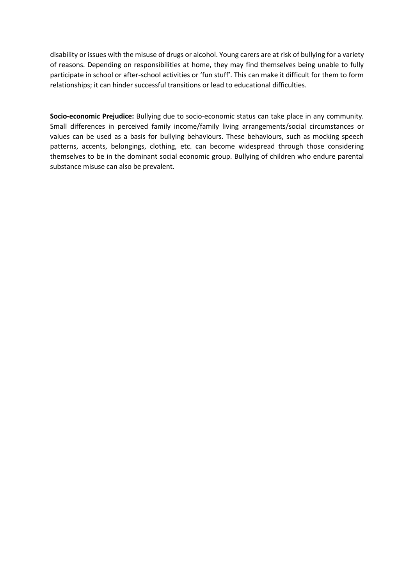disability or issues with the misuse of drugs or alcohol. Young carers are at risk of bullying for a variety of reasons. Depending on responsibilities at home, they may find themselves being unable to fully participate in school or after-school activities or 'fun stuff'. This can make it difficult for them to form relationships; it can hinder successful transitions or lead to educational difficulties.

**Socio-economic Prejudice:** Bullying due to socio-economic status can take place in any community. Small differences in perceived family income/family living arrangements/social circumstances or values can be used as a basis for bullying behaviours. These behaviours, such as mocking speech patterns, accents, belongings, clothing, etc. can become widespread through those considering themselves to be in the dominant social economic group. Bullying of children who endure parental substance misuse can also be prevalent.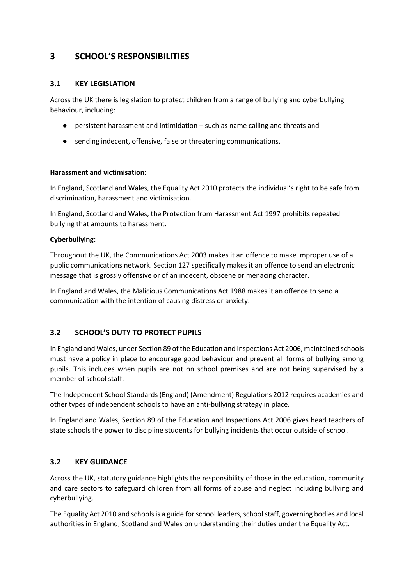# **3 SCHOOL'S RESPONSIBILITIES**

# **3.1 KEY LEGISLATION**

Across the UK there is legislation to protect children from a range of bullying and cyberbullying behaviour, including:

- persistent harassment and intimidation such as name calling and threats and
- sending indecent, offensive, false or threatening communications.

# **Harassment and victimisation:**

In England, Scotland and Wales, the Equality Act 2010 protects the individual's right to be safe from discrimination, harassment and victimisation.

In England, Scotland and Wales, the Protection from Harassment Act 1997 prohibits repeated bullying that amounts to harassment.

# **Cyberbullying:**

Throughout the UK, the Communications Act 2003 makes it an offence to make improper use of a public communications network. Section 127 specifically makes it an offence to send an electronic message that is grossly offensive or of an indecent, obscene or menacing character.

In England and Wales, the Malicious Communications Act 1988 makes it an offence to send a communication with the intention of causing distress or anxiety.

# **3.2 SCHOOL'S DUTY TO PROTECT PUPILS**

In England and Wales, under Section 89 of the Education and Inspections Act 2006, maintained schools must have a policy in place to encourage good behaviour and prevent all forms of bullying among pupils. This includes when pupils are not on school premises and are not being supervised by a member of school staff.

The Independent School Standards (England) (Amendment) Regulations 2012 requires academies and other types of independent schools to have an anti-bullying strategy in place.

In England and Wales, Section 89 of the Education and Inspections Act 2006 gives head teachers of state schools the power to discipline students for bullying incidents that occur outside of school.

# **3.2 KEY GUIDANCE**

Across the UK, statutory guidance highlights the responsibility of those in the education, community and care sectors to safeguard children from all forms of abuse and neglect including bullying and cyberbullying.

The Equality Act 2010 and schools is a guide for school leaders, school staff, governing bodies and local authorities in England, Scotland and Wales on understanding their duties under the Equality Act.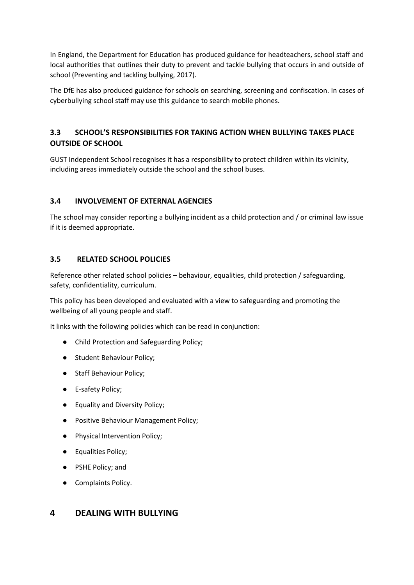In England, the Department for Education has produced guidance for headteachers, school staff and local authorities that outlines their duty to prevent and tackle bullying that occurs in and outside of school (Preventing and tackling bullying, 2017).

The DfE has also produced guidance for schools on searching, screening and confiscation. In cases of cyberbullying school staff may use this guidance to search mobile phones.

# **3.3 SCHOOL'S RESPONSIBILITIES FOR TAKING ACTION WHEN BULLYING TAKES PLACE OUTSIDE OF SCHOOL**

GUST Independent School recognises it has a responsibility to protect children within its vicinity, including areas immediately outside the school and the school buses.

# **3.4 INVOLVEMENT OF EXTERNAL AGENCIES**

The school may consider reporting a bullying incident as a child protection and / or criminal law issue if it is deemed appropriate.

# **3.5 RELATED SCHOOL POLICIES**

Reference other related school policies – behaviour, equalities, child protection / safeguarding, safety, confidentiality, curriculum.

This policy has been developed and evaluated with a view to safeguarding and promoting the wellbeing of all young people and staff.

It links with the following policies which can be read in conjunction:

- Child Protection and Safeguarding Policy;
- Student Behaviour Policy;
- Staff Behaviour Policy;
- E-safety Policy;
- Equality and Diversity Policy;
- Positive Behaviour Management Policy;
- Physical Intervention Policy;
- Equalities Policy;
- PSHE Policy; and
- Complaints Policy.

# **4 DEALING WITH BULLYING**